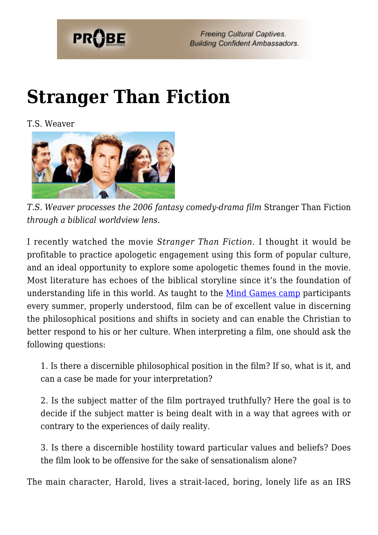

## **[Stranger Than Fiction](https://probe.org/stranger-than-fiction/)**

T.S. Weaver



*T.S. Weaver processes the 2006 fantasy comedy-drama film* Stranger Than Fiction *through a biblical worldview lens.*

I recently watched the movie *Stranger Than Fiction*. I thought it would be profitable to practice apologetic engagement using this form of popular culture, and an ideal opportunity to explore some apologetic themes found in the movie. Most literature has echoes of the biblical storyline since it's the foundation of understanding life in this world. As taught to the  $Mind Games camp$  participants</u> every summer, properly understood, film can be of excellent value in discerning the philosophical positions and shifts in society and can enable the Christian to better respond to his or her culture. When interpreting a film, one should ask the following questions:

1. Is there a discernible philosophical position in the film? If so, what is it, and can a case be made for your interpretation?

2. Is the subject matter of the film portrayed truthfully? Here the goal is to decide if the subject matter is being dealt with in a way that agrees with or contrary to the experiences of daily reality.

3. Is there a discernible hostility toward particular values and beliefs? Does the film look to be offensive for the sake of sensationalism alone?

The main character, Harold, lives a strait-laced, boring, lonely life as an IRS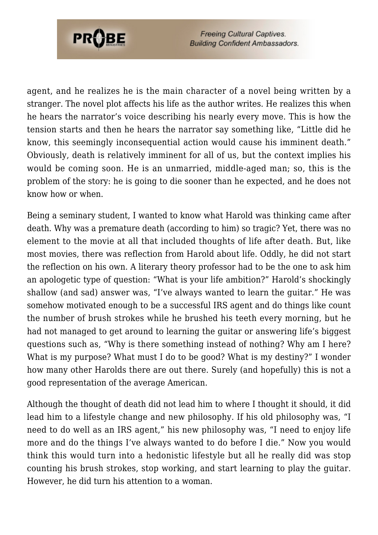

agent, and he realizes he is the main character of a novel being written by a stranger. The novel plot affects his life as the author writes. He realizes this when he hears the narrator's voice describing his nearly every move. This is how the tension starts and then he hears the narrator say something like, "Little did he know, this seemingly inconsequential action would cause his imminent death." Obviously, death is relatively imminent for all of us, but the context implies his would be coming soon. He is an unmarried, middle-aged man; so, this is the problem of the story: he is going to die sooner than he expected, and he does not know how or when.

Being a seminary student, I wanted to know what Harold was thinking came after death. Why was a premature death (according to him) so tragic? Yet, there was no element to the movie at all that included thoughts of life after death. But, like most movies, there was reflection from Harold about life. Oddly, he did not start the reflection on his own. A literary theory professor had to be the one to ask him an apologetic type of question: "What is your life ambition?" Harold's shockingly shallow (and sad) answer was, "I've always wanted to learn the guitar." He was somehow motivated enough to be a successful IRS agent and do things like count the number of brush strokes while he brushed his teeth every morning, but he had not managed to get around to learning the guitar or answering life's biggest questions such as, "Why is there something instead of nothing? Why am I here? What is my purpose? What must I do to be good? What is my destiny?" I wonder how many other Harolds there are out there. Surely (and hopefully) this is not a good representation of the average American.

Although the thought of death did not lead him to where I thought it should, it did lead him to a lifestyle change and new philosophy. If his old philosophy was, "I need to do well as an IRS agent," his new philosophy was, "I need to enjoy life more and do the things I've always wanted to do before I die." Now you would think this would turn into a hedonistic lifestyle but all he really did was stop counting his brush strokes, stop working, and start learning to play the guitar. However, he did turn his attention to a woman.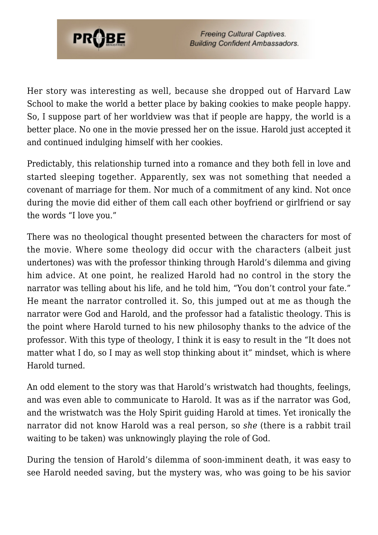

Her story was interesting as well, because she dropped out of Harvard Law School to make the world a better place by baking cookies to make people happy. So, I suppose part of her worldview was that if people are happy, the world is a better place. No one in the movie pressed her on the issue. Harold just accepted it and continued indulging himself with her cookies.

Predictably, this relationship turned into a romance and they both fell in love and started sleeping together. Apparently, sex was not something that needed a covenant of marriage for them. Nor much of a commitment of any kind. Not once during the movie did either of them call each other boyfriend or girlfriend or say the words "I love you."

There was no theological thought presented between the characters for most of the movie. Where some theology did occur with the characters (albeit just undertones) was with the professor thinking through Harold's dilemma and giving him advice. At one point, he realized Harold had no control in the story the narrator was telling about his life, and he told him, "You don't control your fate." He meant the narrator controlled it. So, this jumped out at me as though the narrator were God and Harold, and the professor had a fatalistic theology. This is the point where Harold turned to his new philosophy thanks to the advice of the professor. With this type of theology, I think it is easy to result in the "It does not matter what I do, so I may as well stop thinking about it" mindset, which is where Harold turned.

An odd element to the story was that Harold's wristwatch had thoughts, feelings, and was even able to communicate to Harold. It was as if the narrator was God, and the wristwatch was the Holy Spirit guiding Harold at times. Yet ironically the narrator did not know Harold was a real person, so *she* (there is a rabbit trail waiting to be taken) was unknowingly playing the role of God.

During the tension of Harold's dilemma of soon-imminent death, it was easy to see Harold needed saving, but the mystery was, who was going to be his savior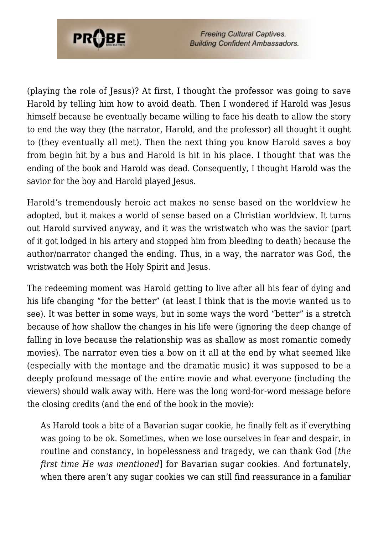

(playing the role of Jesus)? At first, I thought the professor was going to save Harold by telling him how to avoid death. Then I wondered if Harold was Jesus himself because he eventually became willing to face his death to allow the story to end the way they (the narrator, Harold, and the professor) all thought it ought to (they eventually all met). Then the next thing you know Harold saves a boy from begin hit by a bus and Harold is hit in his place. I thought that was the ending of the book and Harold was dead. Consequently, I thought Harold was the savior for the boy and Harold played Jesus.

Harold's tremendously heroic act makes no sense based on the worldview he adopted, but it makes a world of sense based on a Christian worldview. It turns out Harold survived anyway, and it was the wristwatch who was the savior (part of it got lodged in his artery and stopped him from bleeding to death) because the author/narrator changed the ending. Thus, in a way, the narrator was God, the wristwatch was both the Holy Spirit and Jesus.

The redeeming moment was Harold getting to live after all his fear of dying and his life changing "for the better" (at least I think that is the movie wanted us to see). It was better in some ways, but in some ways the word "better" is a stretch because of how shallow the changes in his life were (ignoring the deep change of falling in love because the relationship was as shallow as most romantic comedy movies). The narrator even ties a bow on it all at the end by what seemed like (especially with the montage and the dramatic music) it was supposed to be a deeply profound message of the entire movie and what everyone (including the viewers) should walk away with. Here was the long word-for-word message before the closing credits (and the end of the book in the movie):

As Harold took a bite of a Bavarian sugar cookie, he finally felt as if everything was going to be ok. Sometimes, when we lose ourselves in fear and despair, in routine and constancy, in hopelessness and tragedy, we can thank God [*the first time He was mentioned*] for Bavarian sugar cookies. And fortunately, when there aren't any sugar cookies we can still find reassurance in a familiar